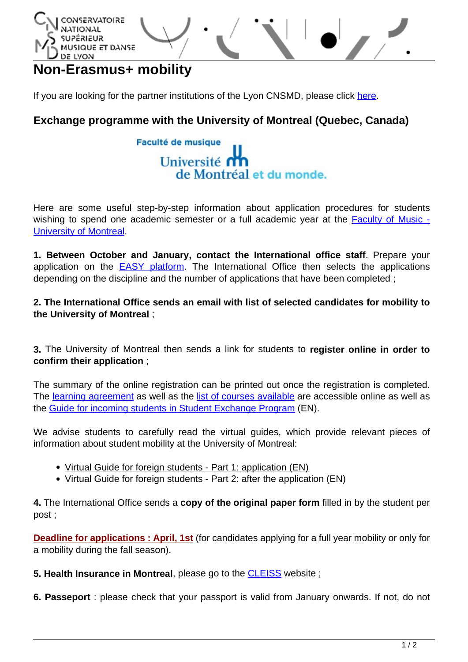

# **Non-Erasmus+ mobility**

If you are looking for the partner institutions of the Lyon CNSMD, please click [here.](http://www.cnsmd-lyon.fr/en-2/international/partner-institutions)

# **Exchange programme with the University of Montreal (Quebec, Canada)**



Here are some useful step-by-step information about application procedures for students wishing to spend one academic semester or a full academic year at the [Faculty of Music -](http://www.musique.umontreal.ca/english.html) [University of Montreal.](http://www.musique.umontreal.ca/english.html)

**1. Between October and January, contact the International office staff**. Prepare your application on the **EASY** platform. The International Office then selects the applications depending on the discipline and the number of applications that have been completed ;

**2. The International Office sends an email with list of selected candidates for mobility to the University of Montreal** ;

**3.** The University of Montreal then sends a link for students to **register online in order to confirm their application** ;

The summary of the online registration can be printed out once the registration is completed. The [learning agreement](https://international.umontreal.ca/fileadmin/international/documents/StudyPlan_plan_etudes.pdf) as well as the [list of courses available](https://international.umontreal.ca/english/international-students/study-at-udem/how-to-choose-your-courses/) are accessible online as well as the [Guide for incoming students in Student Exchange Program](http://www.international.umontreal.ca/echange/cap-udem/guide-eng.html) (EN).

We advise students to carefully read the virtual guides, which provide relevant pieces of information about student mobility at the University of Montreal:

- [Virtual Guide for foreign students Part 1: application \(EN\)](https://prezi.com/vxqjlq--q3ce/student-exchange-programs-at-universite-de-montreal/)
- [Virtual Guide for foreign students Part 2: after the application \(EN\)](https://prezi.com/1dhmtns8kx5e/student-exchange-programs-at-universite-de-montreal/)

**4.** The International Office sends a **copy of the original paper form** filled in by the student per post ;

**Deadline for applications : April, 1st** (for candidates applying for a full year mobility or only for a mobility during the fall season).

**5. Health Insurance in Montreal**, please go to the [CLEISS](https://www.cleiss.fr/index_en.html) website ;

**6. Passeport** : please check that your passport is valid from January onwards. If not, do not